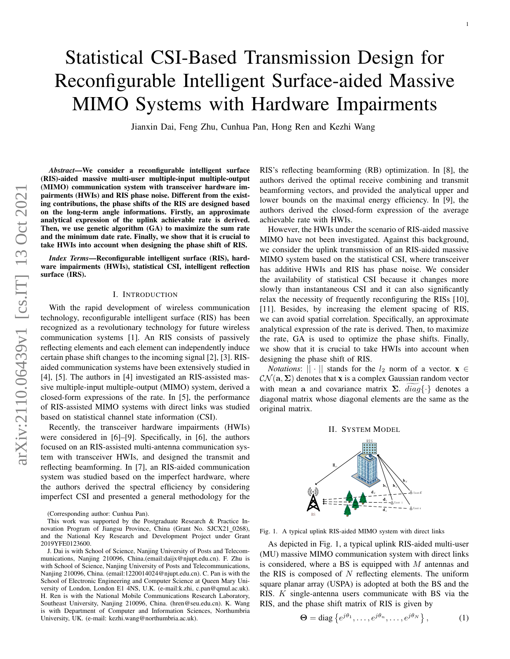# Statistical CSI-Based Transmission Design for Reconfigurable Intelligent Surface-aided Massive MIMO Systems with Hardware Impairments

Jianxin Dai, Feng Zhu, Cunhua Pan, Hong Ren and Kezhi Wang

*Abstract*—We consider a reconfigurable intelligent surface (RIS)-aided massive multi-user multiple-input multiple-output (MIMO) communication system with transceiver hardware impairments (HWIs) and RIS phase noise. Different from the existing contributions, the phase shifts of the RIS are designed based on the long-term angle informations. Firstly, an approximate analytical expression of the uplink achievable rate is derived. Then, we use genetic algorithm (GA) to maximize the sum rate and the minimum date rate. Finally, we show that it is crucial to take HWIs into account when designing the phase shift of RIS.

*Index Terms*—Reconfigurable intelligent surface (RIS), hardware impairments (HWIs), statistical CSI, intelligent reflection surface (IRS).

#### I. INTRODUCTION

With the rapid development of wireless communication technology, reconfigurable intelligent surface (RIS) has been recognized as a revolutionary technology for future wireless communication systems [1]. An RIS consists of passively reflecting elements and each element can independently induce certain phase shift changes to the incoming signal [2], [3]. RISaided communication systems have been extensively studied in [4], [5]. The authors in [4] investigated an RIS-assisted massive multiple-input multiple-output (MIMO) system, derived a closed-form expressions of the rate. In [5], the performance of RIS-assisted MIMO systems with direct links was studied based on statistical channel state information (CSI).

Recently, the transceiver hardware impairments (HWIs) were considered in [6]–[9]. Specifically, in [6], the authors focused on an RIS-assisted multi-antenna communication system with transceiver HWIs, and designed the transmit and reflecting beamforming. In [7], an RIS-aided communication system was studied based on the imperfect hardware, where the authors derived the spectral efficiency by considering imperfect CSI and presented a general methodology for the RIS's reflecting beamforming (RB) optimization. In [8], the authors derived the optimal receive combining and transmit beamforming vectors, and provided the analytical upper and lower bounds on the maximal energy efficiency. In [9], the authors derived the closed-form expression of the average achievable rate with HWIs.

1

However, the HWIs under the scenario of RIS-aided massive MIMO have not been investigated. Against this background, we consider the uplink transmission of an RIS-aided massive MIMO system based on the statistical CSI, where transceiver has additive HWIs and RIS has phase noise. We consider the availability of statistical CSI because it changes more slowly than instantaneous CSI and it can also significantly relax the necessity of frequently reconfiguring the RISs [10], [11]. Besides, by increasing the element spacing of RIS, we can avoid spatial correlation. Specifically, an approximate analytical expression of the rate is derived. Then, to maximize the rate, GA is used to optimize the phase shifts. Finally, we show that it is crucial to take HWIs into account when designing the phase shift of RIS.

*Notations*:  $|| \cdot ||$  stands for the  $l_2$  norm of a vector.  $\mathbf{x} \in$  $\mathcal{CN}(\mathbf{a}, \Sigma)$  denotes that **x** is a complex Gaussian random vector with mean a and covariance matrix  $\Sigma$ .  $diag\{\cdot\}$  denotes a diagonal matrix whose diagonal elements are the same as the original matrix.



Fig. 1. A typical uplink RIS-aided MIMO system with direct links

As depicted in Fig. 1, a typical uplink RIS-aided multi-user (MU) massive MIMO communication system with direct links is considered, where a BS is equipped with M antennas and the RIS is composed of  $N$  reflecting elements. The uniform square planar array (USPA) is adopted at both the BS and the RIS. K single-antenna users communicate with BS via the RIS, and the phase shift matrix of RIS is given by

$$
\Theta = \text{diag}\left\{e^{j\theta_1}, \dots, e^{j\theta_n}, \dots, e^{j\theta_N}\right\},\tag{1}
$$

<sup>(</sup>Corresponding author: Cunhua Pan).

This work was supported by the Postgraduate Research & Practice Innovation Program of Jiangsu Province, China (Grant No. SJCX21\_0268), and the National Key Research and Development Project under Grant 2019YFE0123600.

J. Dai is with School of Science, Nanjing University of Posts and Telecommunications, Nanjing 210096, China.(email:daijx@njupt.edu.cn). F. Zhu is with School of Science, Nanjing University of Posts and Telecommunications, Nanjing 210096, China. (email:1220014024@njupt.edu.cn). C. Pan is with the School of Electronic Engineering and Computer Science at Queen Mary University of London, London E1 4NS, U.K. (e-mail:k.zhi, c.pan@qmul.ac.uk). H. Ren is with the National Mobile Communications Research Laboratory, Southeast University, Nanjing 210096, China. (hren@seu.edu.cn). K. Wang is with Department of Computer and Information Sciences, Northumbria University, UK. (e-mail: kezhi.wang@northumbria.ac.uk).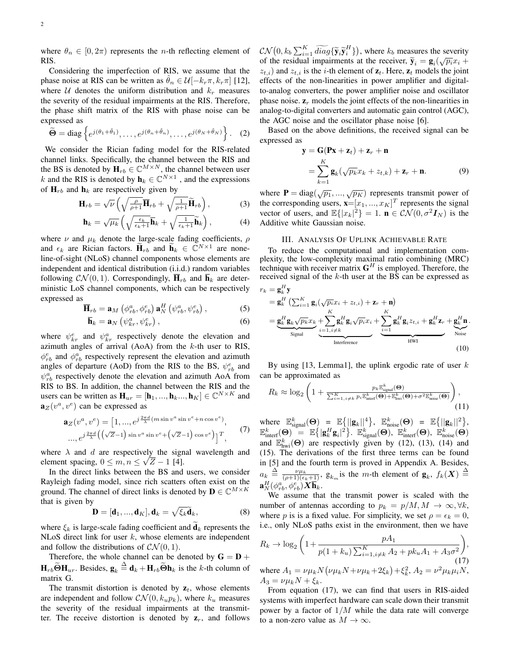where  $\theta_n \in [0, 2\pi)$  represents the *n*-th reflecting element of RIS.

Considering the imperfection of RIS, we assume that the phase noise at RIS can be written as  $\theta_n \in \mathcal{U}[-k_r \pi, k_r \pi]$  [12], where  $U$  denotes the uniform distribution and  $k_r$  measures the severity of the residual impairments at the RIS. Therefore, the phase shift matrix of the RIS with phase noise can be expressed as

$$
\widetilde{\Theta} = \text{diag}\left\{e^{j(\theta_1 + \hat{\theta}_1)}, \dots, e^{j(\theta_n + \hat{\theta}_n)}, \dots, e^{j(\theta_N + \hat{\theta}_N)}\right\}.
$$
 (2)

We consider the Rician fading model for the RIS-related channel links. Specifically, the channel between the RIS and the BS is denoted by  $\mathbf{H}_{rb} \in \mathbb{C}^{M \times N}$ , the channel between user k and the RIS is denoted by  $\mathbf{h}_k \in \mathbb{C}^{N \times 1}$ , and the expressions of  $H_{rb}$  and  $h_k$  are respectively given by

$$
\mathbf{H}_{rb} = \sqrt{\nu} \left( \sqrt{\frac{\rho}{\rho+1}} \overline{\mathbf{H}}_{rb} + \sqrt{\frac{1}{\rho+1}} \widetilde{\mathbf{H}}_{rb} \right),\tag{3}
$$

$$
\mathbf{h}_{k} = \sqrt{\mu_{k}} \left( \sqrt{\frac{\epsilon_{k}}{\epsilon_{k}+1}} \overline{\mathbf{h}}_{k} + \sqrt{\frac{1}{\epsilon_{k}+1}} \widetilde{\mathbf{h}}_{k} \right), \tag{4}
$$

where  $\nu$  and  $\mu_k$  denote the large-scale fading coefficients,  $\rho$ and  $\epsilon_k$  are Rician factors.  $\widetilde{\mathbf{H}}_{rb}$  and  $\widetilde{\mathbf{h}}_k \in \mathbb{C}^{N \times 1}$  are noneline-of-sight (NLoS) channel components whose elements are independent and identical distribution (i.i.d.) random variables following  $CN(0, 1)$ . Correspondingly,  $\overline{\mathbf{H}}_{rb}$  and  $\overline{\mathbf{h}}_k$  are deterministic LoS channel components, which can be respectively expressed as

$$
\overline{\mathbf{H}}_{rb} = \mathbf{a}_M \left( \phi_{rb}^a, \phi_{rb}^e \right) \mathbf{a}_N^H \left( \psi_{rb}^a, \psi_{rb}^e \right), \tag{5}
$$

$$
\overline{\mathbf{h}}_k = \mathbf{a}_N \left( \psi_{kr}^a, \psi_{kr}^e \right), \tag{6}
$$

where  $\psi_{kr}^e$  and  $\psi_{kr}^a$  respectively denote the elevation and azimuth angles of arrival  $(AoA)$  from the  $k$ -th user to RIS,  $\phi_{rb}^e$  and  $\phi_{rb}^a$  respectively represent the elevation and azimuth angles of departure (AoD) from the RIS to the BS,  $\psi_{rb}^e$  and  $\psi_{rb}^a$  respectively denote the elevation and azimuth AoA from RIS to BS. In addition, the channel between the RIS and the users can be written as  $\mathbf{H}_{ur} = [\mathbf{h}_1, ..., \mathbf{h}_k, ..., \mathbf{h}_K] \in \mathbb{C}^{N \times K}$  and  $\mathbf{a}_Z(v^a, v^e)$  can be expressed as

$$
\mathbf{a}_Z(v^a, v^e) = \begin{bmatrix} 1, ..., e^{j\frac{2\pi d}{\lambda}(m\sin v^a \sin v^e + n\cos v^e)}, \\ ..., e^{j\frac{2\pi d}{\lambda}\left(\left(\sqrt{Z}-1\right)\sin v^a \sin v^e + \left(\sqrt{Z}-1\right)\cos v^e\right)\right]^T}, \end{bmatrix} (7)
$$

where  $\lambda$  and  $d$  are respectively the signal wavelength and element spacing,  $0 \le m, n \le \sqrt{Z} - 1$  [4].

In the direct links between the BS and users, we consider Rayleigh fading model, since rich scatters often exist on the ground. The channel of direct links is denoted by  $\mathbf{D} \in \mathbb{C}^{M \times K}$ that is given by

$$
\mathbf{D} = [\mathbf{d}_1, ..., \mathbf{d}_K], \mathbf{d}_k = \sqrt{\xi_k} \widetilde{\mathbf{d}}_k, \tag{8}
$$

where  $\xi_k$  is large-scale fading coefficient and  $\mathbf{d}_k$  represents the NLoS direct link for user  $k$ , whose elements are independent and follow the distributions of  $CN(0, 1)$ .

Therefore, the whole channel can be denoted by  $G = D +$  $\mathbf{H}_{rb}$  $\widetilde{\mathbf{\Theta}}\mathbf{H}_{ur}$ . Besides,  $\mathbf{g}_k \stackrel{\Delta}{=} \mathbf{d}_k + \mathbf{H}_{rb} \widetilde{\mathbf{\Theta}}\mathbf{h}_k$  is the k-th column of matrix G.

The transmit distortion is denoted by  $z_t$ , whose elements are independent and follow  $\mathcal{CN}(0, k_u p_k)$ , where  $k_u$  measures the severity of the residual impairments at the transmitter. The receive distortion is denoted by  $z_r$ , and follows

 $\mathcal{CN}(0, k_b \sum_{i=1}^K \widetilde{diag}\{\widetilde{\mathbf{y}}_i \widetilde{\mathbf{y}}_i^H\})$ , where  $k_b$  measures the severity of the residual impairments at the receiver,  $\tilde{\mathbf{y}}_i = \mathbf{g}_i(\sqrt{p_i}x_i + \tilde{\mathbf{x}}_i)$  and  $\tilde{\mathbf{x}}_i$  is the *i*-th element of  $\tilde{\mathbf{z}}_i$ . Here,  $\tilde{\mathbf{x}}_i$  models the joint  $z_{t,i}$ ) and  $z_{t,i}$  is the *i*-th element of  $z_t$ . Here,  $z_t$  models the joint effects of the non-linearities in power amplifier and digitalto-analog converters, the power amplifier noise and oscillator phase noise.  $z_r$  models the joint effects of the non-linearities in analog-to-digital converters and automatic gain control (AGC), the AGC noise and the oscillator phase noise [6].

Based on the above definitions, the received signal can be expressed as

$$
\mathbf{y} = \mathbf{G}(\mathbf{P}\mathbf{x} + \mathbf{z}_t) + \mathbf{z}_r + \mathbf{n}
$$
  
= 
$$
\sum_{k=1}^{K} \mathbf{g}_k(\sqrt{p_k}x_k + z_{t,k}) + \mathbf{z}_r + \mathbf{n}.
$$
 (9)

where **P** = diag( $\sqrt{p_1}, ..., \sqrt{p_K}$ ) represents transmit power of the corresponding users,  $\mathbf{x} = [x_1, ..., x_K]^T$  represents the signal vector of users, and  $\mathbb{E}\{|x_k|^2\} = 1$ .  $\mathbf{n} \in \mathcal{CN}(0, \sigma^2 \mathbf{I}_N)$  is the Additive white Gaussian noise.

#### III. ANALYSIS OF UPLINK ACHIEVABLE RATE

To reduce the computational and implementation complexity, the low-complexity maximal ratio combining (MRC) technique with receiver matrix  $G^H$  is employed. Therefore, the received signal of the  $k$ -th user at the BS can be expressed as

$$
r_{k} = \mathbf{g}_{k}^{H} \mathbf{y}
$$
  
\n
$$
= \mathbf{g}_{k}^{H} \left( \sum_{i=1}^{K} \mathbf{g}_{i} (\sqrt{p_{i}} x_{i} + z_{t,i}) + \mathbf{z}_{r} + \mathbf{n} \right)
$$
  
\n
$$
= \underbrace{\mathbf{g}_{k}^{H} \mathbf{g}_{k} \sqrt{p_{k}} x_{k}}_{\text{Signal}} + \underbrace{\sum_{i=1, i \neq k}^{K} \mathbf{g}_{i}^{H} \mathbf{g}_{i} \sqrt{p_{i}} x_{i}}_{\text{Interference}} + \underbrace{\sum_{i=1}^{K} \mathbf{g}_{k}^{H} \mathbf{g}_{i} z_{t,i} + \mathbf{g}_{k}^{H} \mathbf{z}_{r}}_{\text{HWI}} + \underbrace{\mathbf{g}_{k}^{H} \mathbf{n}}_{\text{Noise}}.
$$
\n(10)

By using  $[13, Lemma1]$ , the uplink ergodic rate of user k can be approximated as

$$
R_k \approx \log_2\left(1 + \frac{p_k \mathbb{E}_{\text{signal}}^k(\Theta)}{\sum_{i=1, i \neq k}^K p_i \mathbb{E}_{\text{interf}}^k(\Theta) + \mathbb{E}_{\text{hwi}}^k(\Theta) + \sigma^2 \mathbb{E}_{\text{noise}}^k(\Theta)}\right),\tag{11}
$$

where  $\mathbb{E}_{\text{signal}}^k(\Theta) = \mathbb{E}\{||\mathbf{g}_k||^4\}, \quad \mathbb{E}_{\text{noise}}^k(\Theta) = \mathbb{E}\{||\mathbf{g}_k||^2\},$  $\mathbb{E}^k_{\text{interf}}(\mathbf{\Theta}) \stackrel{\cdot\cdot\cdot}{=} \mathbb{E}\big\{| \mathbf{g}_k^H \mathbf{g}_i |^2 \big\}. \ \ \mathbb{E}^k_{\text{signal}}(\mathbf{\Theta}), \ \ \mathbb{E}^k_{\text{interf}}(\mathbf{\Theta}), \ \ \mathbb{\tilde{E}}^k_{\text{noise}}(\mathbf{\Theta})$ and  $\mathbb{E}_{\text{hwi}}^k(\Theta)$  are respectivly given by (12), (13), (14) and (15). The derivations of the first three terms can be found in [5] and the fourth term is proved in Appendix A. Besides,  $a_k \triangleq \frac{\nu \mu_k}{(\rho+1)(\epsilon_k+1)},$   $g_{k_m}$  is the m-th element of  $g_k$ ,  $f_k(\boldsymbol{X}) \triangleq$  $\mathbf{a}^H_N(\phi^a_{rb},\phi^e_{rb})\bm{X}\overline{\mathbf{h}}_k.$ 

We assume that the transmit power is scaled with the number of antennas according to  $p_k = p/M, M \rightarrow \infty, \forall k$ , where p is is a fixed value. For simplicity, we set  $\rho = \epsilon_k = 0$ , i.e., only NLoS paths exist in the environment, then we have

$$
R_k \to \log_2\left(1 + \frac{pA_1}{p(1 + k_u)\sum_{i=1, i \neq k}^K A_2 + pk_u A_1 + A_3 \sigma^2}\right),
$$
  
where  $A_1 = \nu \mu_k N (\nu \mu_k N + \nu \mu_k + 2\xi_k) + \xi_k^2$ ,  $A_2 = \nu^2 \mu_k \mu_i N$ ,

 $A_3 = \nu \mu_k N + \xi_k.$ 

From equation (17), we can find that users in RIS-aided systems with imperfect hardware can scale down their transmit power by a factor of  $1/M$  while the data rate will converge to a non-zero value as  $M \to \infty$ .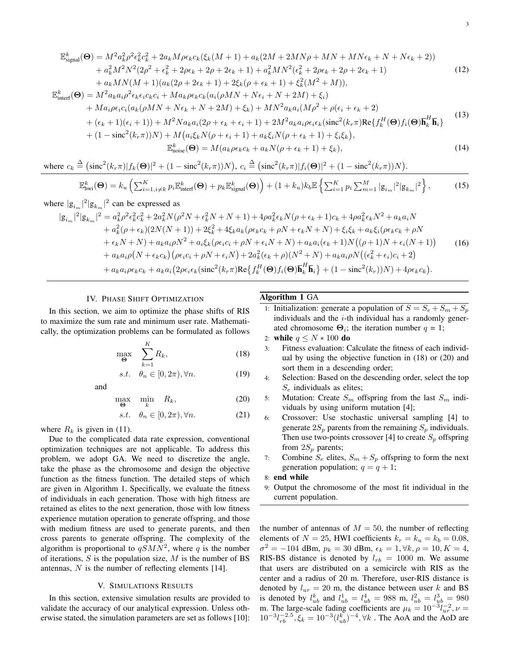$$
\mathbb{E}_{\text{signal}}^{k}(\Theta) = M^{2}a_{k}^{2}\rho^{2}\epsilon_{k}^{2}c_{k}^{2} + 2a_{k}M\rho\epsilon_{k}c_{k}(\xi_{k}(M+1) + a_{k}(2M + 2MN\rho + MN + MN\epsilon_{k} + N + N\epsilon_{k} + 2)) + a_{k}^{2}M^{2}N^{2}(2\rho^{2} + \epsilon_{k}^{2} + 2\rho\epsilon_{k} + 2\rho + 2\epsilon_{k} + 1) + a_{k}^{2}MN^{2}(\epsilon_{k}^{2} + 2\rho\epsilon_{k} + 2\rho + 2\epsilon_{k} + 1)
$$
(12)  
+  $a_{k}MN(M+1)(a_{k}(2\rho + 2\epsilon_{k} + 1) + 2\xi_{k}(\rho + \epsilon_{k} + 1) + \xi_{k}^{2}(M^{2} + M)),$   

$$
\mathbb{E}_{\text{interf}}^{k}(\Theta) = M^{2}a_{k}a_{i}\rho^{2}\epsilon_{k}\epsilon_{i}c_{k}c_{i} + Ma_{k}\rho\epsilon_{k}c_{k}(a_{i}(\rho MN + N\epsilon_{i} + N + 2M) + \xi_{i}) + Ma_{i}\rho\epsilon_{i}c_{i}(a_{k}(\rho MN + N\epsilon_{k} + N + 2M) + \xi_{k}) + MN^{2}a_{k}a_{i}(M\rho^{2} + \rho(\epsilon_{i} + \epsilon_{k} + 2) + (\epsilon_{k} + 1)(\epsilon_{i} + 1)) + M^{2}Na_{k}a_{i}(2\rho + \epsilon_{k} + \epsilon_{i} + 1) + 2M^{2}a_{k}a_{i}\rho\epsilon_{i}\epsilon_{k}(\text{sinc}^{2}(k_{r}\pi)\text{Re}\{f_{k}^{H}(\Theta)f_{i}(\Theta)\overline{\mathbf{h}}_{k}^{H}\overline{\mathbf{h}}_{i}\}
$$
(13)  
+  $(1 - \text{sinc}^{2}(k_{r}\pi))N) + M(a_{i}\xi_{k}N(\rho + \epsilon_{i} + 1) + a_{k}\xi_{i}N(\rho + \epsilon_{k} + 1) + \xi_{i}\xi_{k}),$   

$$
\mathbb{E}_{\text{noise}}^{k}(\Theta) = M(a_{k}\rho\epsilon_{k}c_{k} + a_{k}N(\rho + \epsilon_{k} + 1) + \xi_{k
$$

where  $c_k \stackrel{\Delta}{=} (\text{sinc}^2(k_r \pi) | f_k(\Theta) |^2 + (1 - \text{sinc}^2(k_r \pi)) N)$ ,  $c_i \stackrel{\Delta}{=} (\text{sinc}^2(k_r \pi) | f_i(\Theta) |^2 + (1 - \text{sinc}^2(k_r \pi)) N)$ .

$$
\mathbb{E}_{\text{hwi}}^{k}(\Theta) = k_{u} \left( \sum_{i=1, i \neq k}^{K} p_{i} \mathbb{E}_{\text{interf}}^{k}(\Theta) + p_{k} \mathbb{E}_{\text{signal}}^{k}(\Theta) \right) + (1 + k_{u}) k_{b} \mathbb{E} \left\{ \sum_{i=1}^{K} p_{i} \sum_{m=1}^{M} |\mathbf{g}_{i_{m}}|^{2} |\mathbf{g}_{k_{m}}|^{2} \right\},\tag{15}
$$

where  $|g_{i_m}|^2 |g_{k_m}|^2$  can be expressed as

$$
|g_{i_m}|^2 |g_{k_m}|^2 = a_k^2 \rho^2 \epsilon_k^2 c_k^2 + 2a_k^2 N(\rho^2 N + \epsilon_k^2 N + N + 1) + 4\rho a_k^2 \epsilon_k N(\rho + \epsilon_k + 1)c_k + 4\rho a_k^2 \epsilon_k N^2 + a_k a_i N
$$
  
+  $a_k^2 (\rho + \epsilon_k)(2N(N + 1)) + 2\xi_k^2 + 4\xi_k a_k (\rho \epsilon_k c_k + \rho N + \epsilon_k N + N) + \xi_i \xi_k + a_k \xi_i (\rho \epsilon_k c_k + \rho N$   
+  $\epsilon_k N + N) + a_k a_i \rho N^2 + a_i \xi_k (\rho \epsilon_i c_i + \rho N + \epsilon_i N + N) + a_k a_i (\epsilon_k + 1) N((\rho + 1)N + \epsilon_i (N + 1))$   
+  $a_k a_i \rho (N + \epsilon_k c_k) (\rho \epsilon_i c_i + \rho N + \epsilon_i N) + 2a_k^2 (\epsilon_k + \rho)(N^2 + N) + a_k a_i \rho N((\epsilon_k^2 + \epsilon_i)c_i + 2)$   
+  $a_k a_i \rho \epsilon_k c_k + a_k a_i (2\rho \epsilon_i \epsilon_k (\text{sinc}^2(k_r \pi) \text{Re}\{f_k^H(\Theta) f_i(\Theta)\overline{\mathbf{h}}_k^H \overline{\mathbf{h}}_i\} + (1 - \text{sinc}^2(k_r))N) + 4\rho \epsilon_k c_k).$  (16)

 $(19)$ 

#### IV. PHASE SHIFT OPTIMIZATION

In this section, we aim to optimize the phase shifts of RIS to maximize the sum rate and minimum user rate. Mathematically, the optimization problems can be formulated as follows

$$
\max_{\Theta} \quad \sum_{k=1}^{K} R_k, \tag{18}
$$

$$
s.t. \quad \theta_n \in [0, 2\pi), \forall n.
$$

and

$$
\max_{\Theta} \quad \min_{k} \quad R_k, \tag{20}
$$

$$
s.t. \quad \theta_n \in [0, 2\pi), \forall n. \tag{21}
$$

where  $R_k$  is given in (11).

Due to the complicated data rate expression, conventional optimization techniques are not applicable. To address this problem, we adopt GA. We need to discretize the angle, take the phase as the chromosome and design the objective function as the fitness function. The detailed steps of which are given in Algorithm 1. Specifically, we evaluate the fitness of individuals in each generation. Those with high fitness are retained as elites to the next generation, those with low fitness experience mutation operation to generate offspring, and those with medium fitness are used to generate parents, and then cross parents to generate offspring. The complexity of the algorithm is proportional to  $qSMN^2$ , where q is the number of iterations,  $S$  is the population size,  $M$  is the number of BS antennas, N is the number of reflecting elements [14].

### V. SIMULATIONS RESULTS

In this section, extensive simulation results are provided to validate the accuracy of our analytical expression. Unless otherwise stated, the simulation parameters are set as follows [10]:

## Algorithm 1 GA

- 1: Initialization: generate a population of  $S = S_e + S_m + S_p$ individuals and the  $i$ -th individual has a randomly generated chromosome  $\Theta_i$ ; the iteration number  $q = 1$ ;
- 2: while  $q \leq N * 100$  do
- 3: Fitness evaluation: Calculate the fitness of each individual by using the objective function in (18) or (20) and sort them in a descending order;
- 4: Selection: Based on the descending order, select the top  $S_e$  individuals as elites;
- 5: Mutation: Create  $S_m$  offspring from the last  $S_m$  individuals by using uniform mutation [4];
- 6: Crossover: Use stochastic universal sampling [4] to generate  $2S_p$  parents from the remaining  $S_p$  individuals. Then use two-points crossover [4] to create  $S_p$  offspring from  $2S_p$  parents;
- 7: Combine  $S_e$  elites,  $S_m + S_p$  offspring to form the next generation population;  $q = q + 1$ ;
- 8: end while
- 9: Output the chromosome of the most fit individual in the current population.

the number of antennas of  $M = 50$ , the number of reflecting elements of  $N = 25$ , HWI coefficients  $k_r = k_u = k_b = 0.08$ ,  $\sigma^2 = -104$  dBm,  $p_k = 30$  dBm,  $\epsilon_k = 1, \forall k, \rho = 10, K = 4$ , RIS-BS distance is denoted by  $l_{rb} = 1000$  m. We assume that users are distributed on a semicircle with RIS as the center and a radius of 20 m. Therefore, user-RIS distance is denoted by  $l_{ur} = 20$  m, the distance between user k and BS is denoted by  $l_{ub}^k$  and  $l_{ub}^1 = l_{ub}^4 = 988$  m,  $l_{ub}^2 = l_{ub}^3 = 980$ m. The large-scale fading coefficients are  $\mu_k = 10^{-3} l_{ur}^{-2}$ ,  $\nu =$  $10^{-3} l_{rb}^{-2.5}$ ,  $\xi_k = 10^{-3} (l_{ub}^{\overline{k}})^{-4}$ ,  $\forall k$ . The AoA and the AoD are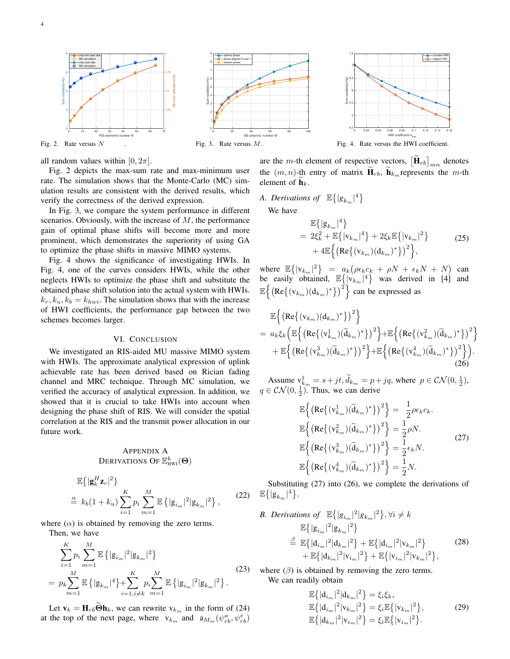





Fig. 4. Rate versus the HWI coefficient.

all random values within  $[0, 2\pi]$ .

Fig. 2 depicts the max-sum rate and max-minimum user rate. The simulation shows that the Monte-Carlo (MC) simulation results are consistent with the derived results, which verify the correctness of the derived expression.

In Fig. 3, we compare the system performance in different scenarios. Obviously, with the increase of  $M$ , the performance gain of optimal phase shifts will become more and more prominent, which demonstrates the superiority of using GA to optimize the phase shifts in massive MIMO systems.

Fig. 4 shows the significance of investigating HWIs. In Fig. 4, one of the curves considers HWIs, while the other neglects HWIs to optimize the phase shift and substitute the obtained phase shift solution into the actual system with HWIs.  $k_r, k_u, k_b = k_{hwi}$ . The simulation shows that with the increase of HWI coefficients, the performance gap between the two schemes becomes larger.

#### VI. CONCLUSION

We investigated an RIS-aided MU massive MIMO system with HWIs. The approximate analytical expression of uplink achievable rate has been derived based on Rician fading channel and MRC technique. Through MC simulation, we verified the accuracy of analytical expression. In addition, we showed that it is crucial to take HWIs into account when designing the phase shift of RIS. We will consider the spatial correlation at the RIS and the transmit power allocation in our future work.

## APPENDIX A Derivations Of  $\mathbb{E}_{\text{\tiny{HWI}}}^k(\boldsymbol{\Theta})$

$$
\mathbb{E}\{|\mathbf{g}_k^H \mathbf{z}_r|^2\}\
$$
  
\n
$$
\stackrel{\text{a}}{=} k_b(1+k_u) \sum_{i=1}^K p_i \sum_{m=1}^M \mathbb{E}\{|\mathbf{g}_{i_m}|^2 |\mathbf{g}_{k_m}|^2\},
$$
 (22)

where  $(\alpha)$  is obtained by removing the zero terms.

Then, we have

$$
\sum_{i=1}^{K} p_i \sum_{m=1}^{M} \mathbb{E} \left\{ |\mathbf{g}_{i_m}|^2 |\mathbf{g}_{k_m}|^2 \right\}
$$
\n
$$
= p_k \sum_{m=1}^{M} \mathbb{E} \left\{ |\mathbf{g}_{k_m}|^4 \right\} + \sum_{i=1, i \neq k}^{K} p_i \sum_{m=1}^{M} \mathbb{E} \left\{ |\mathbf{g}_{i_m}|^2 |\mathbf{g}_{k_m}|^2 \right\}. \tag{23}
$$

Let  $\mathbf{v}_k = \mathbf{H}_{rb} \mathbf{\Theta} \mathbf{h}_k$ , we can rewrite  $v_{k_m}$  in the form of (24) at the top of the next page, where  $v_{k_m}$  and  $a_{M_m}(\psi_{rb}^a, \psi_{rb}^e)$ 

are the *m*-th element of respective vectors,  $[\mathbf{H}_{rb}]_{mn}$  denotes the  $(m, n)$ -th entry of matrix  $\mathbf{H}_{rb}$ ,  $\mathbf{h}_{km}$  represents the m-th element of  $h_k$ .

*A. Derivations of*  $\mathbb{E}\left\{ |g_{k_m}|^4 \right\}$ 

We have

$$
\mathbb{E}\{|g_{k_m}|^4\} = 2\xi_k^2 + \mathbb{E}\{|v_{k_m}|^4\} + 2\xi_k \mathbb{E}\{|v_{k_m}|^2\} + 4\mathbb{E}\Big{\{(\text{Re}\{(v_{k_m})(d_{k_m})^*)\}^2\}},
$$
\n(25)

where  $\mathbb{E}\left\{ |\mathbf{v}_{k_m}|^2 \right\} = a_k \big( \rho \epsilon_k c_k + \rho N + \epsilon_k N + N \big)$  can be easily obtained,  $\mathbb{E}\{|\mathbf{v}_{k_m}|^4\}$  was derived in [4] and  $\mathbb{E}\left\{\left(\text{Re}\left\{(v_{k_m})(d_{k_m})^*\right\}\right)^2\right\}$  can be expressed as

$$
\mathbb{E}\Big\{\big(\text{Re}\big\{(v_{k_m})(d_{k_m})^*\big\}\big)^2\Big\}= a_k \xi_k \big(\mathbb{E}\Big\{\big(\text{Re}\big\{(v_{k_m}^1)(\tilde{d}_{k_m})^*\big\}\big)^2\Big\} + \mathbb{E}\Big\{\big(\text{Re}\big\{(v_{k_m}^2)(\tilde{d}_{k_m})^*\big\}\big)^2\Big\}+ \mathbb{E}\Big\{\big(\text{Re}\big\{(v_{k_m}^3)(\tilde{d}_{k_m})^*\big\}\big)^2\Big\} + \mathbb{E}\Big\{\big(\text{Re}\big\{(v_{k_m}^4)(\tilde{d}_{k_m})^*\big\}\big)^2\Big\}\Big). (26)
$$

Assume  $v^1_{k_m} = s + jt$ ,  $\tilde{d}_{k_m} = p + jq$ , where  $p \in \mathcal{CN}(0, \frac{1}{2})$ ,  $q \in \mathcal{CN}(0, \frac{1}{2})$ . Thus, we can derive

$$
\mathbb{E}\left\{\left(\text{Re}\left\{(\mathbf{v}_{k_m}^1)(\widetilde{\mathbf{d}}_{k_m})^*\right\}\right)^2\right\} = \frac{1}{2}\rho\epsilon_k c_k.
$$
\n
$$
\mathbb{E}\left\{\left(\text{Re}\left\{(\mathbf{v}_{k_m}^2)(\widetilde{\mathbf{d}}_{k_m})^*\right\}\right)^2\right\} = \frac{1}{2}\rho N.
$$
\n
$$
\mathbb{E}\left\{\left(\text{Re}\left\{(\mathbf{v}_{k_m}^3)(\widetilde{\mathbf{d}}_{k_m})^*\right\}\right)^2\right\} = \frac{1}{2}\epsilon_k N.
$$
\n
$$
\mathbb{E}\left\{\left(\text{Re}\left\{(\mathbf{v}_{k_m}^4)(\widetilde{\mathbf{d}}_{k_m})^*\right\}\right)^2\right\} = \frac{1}{2}N.
$$
\n(27)

(22)  $\mathbb{E}\{|g_{k_m}|^4\}.$ Substituting (27) into (26), we complete the derivations of

B. Derivations of 
$$
\mathbb{E}\{|g_{i_m}|^2|g_{k_m}|^2\}, \forall i \neq k
$$
  
\n $\mathbb{E}\{|g_{i_m}|^2|g_{k_m}|^2\}$   
\n $\stackrel{\beta}{=}\mathbb{E}\{|d_{i_m}|^2|d_{k_m}|^2\} + \mathbb{E}\{|d_{i_m}|^2|v_{k_m}|^2\}$   
\n $+ \mathbb{E}\{|d_{k_m}|^2|v_{i_m}|^2\} + \mathbb{E}\{|v_{i_m}|^2|v_{k_m}|^2\},$  (28)

where  $(\beta)$  is obtained by removing the zero terms. We can readily obtain

$$
\mathbb{E}\{|d_{i_m}|^2|d_{k_m}|^2\} = \xi_i\xi_k,
$$
  
\n
$$
\mathbb{E}\{|d_{i_m}|^2|v_{k_m}|^2\} = \xi_i\mathbb{E}\{|v_{k_m}|^2\},
$$
  
\n
$$
\mathbb{E}\{|d_{k_m}|^2|v_{i_m}|^2\} = \xi_i\mathbb{E}\{|v_{i_m}|^2\}.
$$
\n(29)